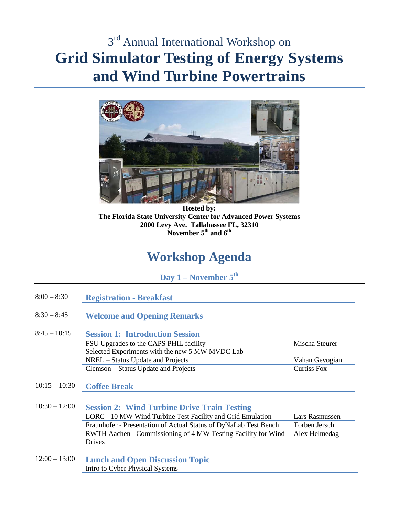# $3<sup>rd</sup>$  Annual International Workshop on **Grid Simulator Testing of Energy Systems and Wind Turbine Powertrains**



**Hosted by: The Florida State University Center for Advanced Power Systems 2000 Levy Ave. Tallahassee FL, 32310 November 5th and 6th**

# **Workshop Agenda**

**Day 1 – November 5th**

- 8:00 8:30 **Registration - Breakfast**
- 8:30 8:45 **Welcome and Opening Remarks**
- 8:45 10:15 **Session 1: Introduction Session** FSU Upgrades to the CAPS PHIL facility - Selected Experiments with the new 5 MW MVDC Lab Mischa Steurer NREL – Status Update and Projects Vahan Gevogian Clemson – Status Update and Projects Curtiss Fox
- 10:15 10:30 **Coffee Break**

### 10:30 – 12:00 **Session 2: Wind Turbine Drive Train Testing**

| LORC - 10 MW Wind Turbine Test Facility and Grid Emulation           | Lars Rasmussen |
|----------------------------------------------------------------------|----------------|
| Fraunhofer - Presentation of Actual Status of DyNaLab Test Bench     | Torben Jersch  |
| <b>RWTH Aachen - Commissioning of 4 MW Testing Facility for Wind</b> | Alex Helmedag  |
| <b>Drives</b>                                                        |                |

12:00 – 13:00 **Lunch and Open Discussion Topic** Intro to Cyber Physical Systems